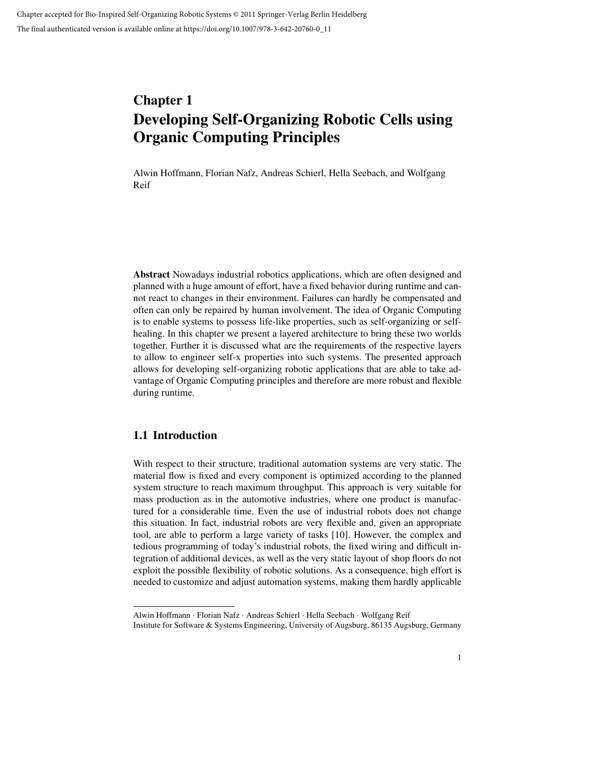Alwin Hoffmann, Florian Nafz, Andreas Schierl, Hella Seebach, and Wolfgang Reif

Abstract Nowadays industrial robotics applications, which are often designed and planned with a huge amount of effort, have a fixed behavior during runtime and cannot react to changes in their environment. Failures can hardly be compensated and often can only be repaired by human involvement. The idea of Organic Computing is to enable systems to possess life-like properties, such as self-organizing or selfhealing. In this chapter we present a layered architecture to bring these two worlds together. Further it is discussed what are the requirements of the respective layers to allow to engineer self-x properties into such systems. The presented approach allows for developing self-organizing robotic applications that are able to take advantage of Organic Computing principles and therefore are more robust and flexible during runtime.

## 1.1 Introduction

With respect to their structure, traditional automation systems are very static. The material flow is fixed and every component is optimized according to the planned system structure to reach maximum throughput. This approach is very suitable for mass production as in the automotive industries, where one product is manufactured for a considerable time. Even the use of industrial robots does not change this situation. In fact, industrial robots are very flexible and, given an appropriate tool, are able to perform a large variety of tasks [10]. However, the complex and tedious programming of today's industrial robots, the fixed wiring and difficult integration of additional devices, as well as the very static layout of shop floors do not exploit the possible flexibility of robotic solutions. As a consequence, high effort is needed to customize and adjust automation systems, making them hardly applicable

Alwin Hoffmann · Florian Nafz · Andreas Schierl · Hella Seebach · Wolfgang Reif Institute for Software & Systems Engineering, University of Augsburg, 86135 Augsburg, Germany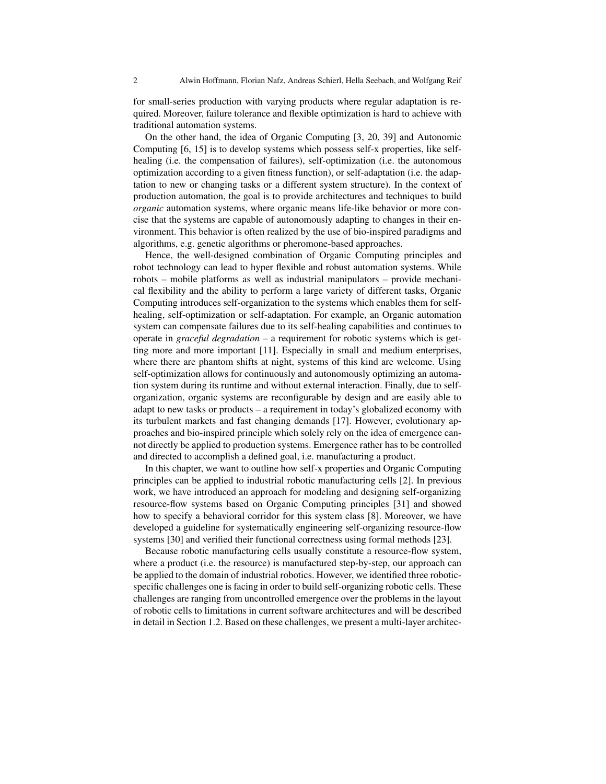for small-series production with varying products where regular adaptation is required. Moreover, failure tolerance and flexible optimization is hard to achieve with traditional automation systems.

On the other hand, the idea of Organic Computing [3, 20, 39] and Autonomic Computing [6, 15] is to develop systems which possess self-x properties, like selfhealing (i.e. the compensation of failures), self-optimization (i.e. the autonomous optimization according to a given fitness function), or self-adaptation (i.e. the adaptation to new or changing tasks or a different system structure). In the context of production automation, the goal is to provide architectures and techniques to build *organic* automation systems, where organic means life-like behavior or more concise that the systems are capable of autonomously adapting to changes in their environment. This behavior is often realized by the use of bio-inspired paradigms and algorithms, e.g. genetic algorithms or pheromone-based approaches.

Hence, the well-designed combination of Organic Computing principles and robot technology can lead to hyper flexible and robust automation systems. While robots – mobile platforms as well as industrial manipulators – provide mechanical flexibility and the ability to perform a large variety of different tasks, Organic Computing introduces self-organization to the systems which enables them for selfhealing, self-optimization or self-adaptation. For example, an Organic automation system can compensate failures due to its self-healing capabilities and continues to operate in *graceful degradation* – a requirement for robotic systems which is getting more and more important [11]. Especially in small and medium enterprises, where there are phantom shifts at night, systems of this kind are welcome. Using self-optimization allows for continuously and autonomously optimizing an automation system during its runtime and without external interaction. Finally, due to selforganization, organic systems are reconfigurable by design and are easily able to adapt to new tasks or products – a requirement in today's globalized economy with its turbulent markets and fast changing demands [17]. However, evolutionary approaches and bio-inspired principle which solely rely on the idea of emergence cannot directly be applied to production systems. Emergence rather has to be controlled and directed to accomplish a defined goal, i.e. manufacturing a product.

In this chapter, we want to outline how self-x properties and Organic Computing principles can be applied to industrial robotic manufacturing cells [2]. In previous work, we have introduced an approach for modeling and designing self-organizing resource-flow systems based on Organic Computing principles [31] and showed how to specify a behavioral corridor for this system class [8]. Moreover, we have developed a guideline for systematically engineering self-organizing resource-flow systems [30] and verified their functional correctness using formal methods [23].

Because robotic manufacturing cells usually constitute a resource-flow system, where a product (i.e. the resource) is manufactured step-by-step, our approach can be applied to the domain of industrial robotics. However, we identified three roboticspecific challenges one is facing in order to build self-organizing robotic cells. These challenges are ranging from uncontrolled emergence over the problems in the layout of robotic cells to limitations in current software architectures and will be described in detail in Section 1.2. Based on these challenges, we present a multi-layer architec-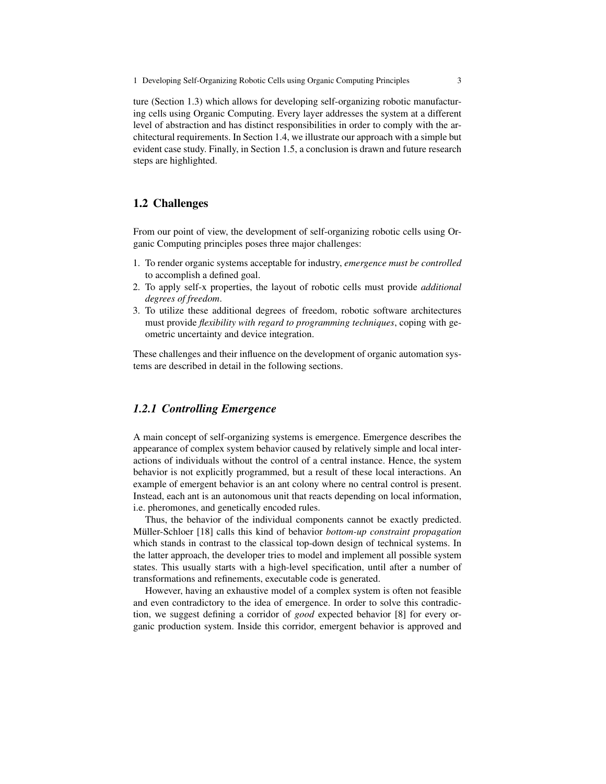ture (Section 1.3) which allows for developing self-organizing robotic manufacturing cells using Organic Computing. Every layer addresses the system at a different level of abstraction and has distinct responsibilities in order to comply with the architectural requirements. In Section 1.4, we illustrate our approach with a simple but evident case study. Finally, in Section 1.5, a conclusion is drawn and future research steps are highlighted.

## 1.2 Challenges

From our point of view, the development of self-organizing robotic cells using Organic Computing principles poses three major challenges:

- 1. To render organic systems acceptable for industry, *emergence must be controlled* to accomplish a defined goal.
- 2. To apply self-x properties, the layout of robotic cells must provide *additional degrees of freedom*.
- 3. To utilize these additional degrees of freedom, robotic software architectures must provide *flexibility with regard to programming techniques*, coping with geometric uncertainty and device integration.

These challenges and their influence on the development of organic automation systems are described in detail in the following sections.

## *1.2.1 Controlling Emergence*

A main concept of self-organizing systems is emergence. Emergence describes the appearance of complex system behavior caused by relatively simple and local interactions of individuals without the control of a central instance. Hence, the system behavior is not explicitly programmed, but a result of these local interactions. An example of emergent behavior is an ant colony where no central control is present. Instead, each ant is an autonomous unit that reacts depending on local information, i.e. pheromones, and genetically encoded rules.

Thus, the behavior of the individual components cannot be exactly predicted. Müller-Schloer [18] calls this kind of behavior *bottom-up constraint propagation* which stands in contrast to the classical top-down design of technical systems. In the latter approach, the developer tries to model and implement all possible system states. This usually starts with a high-level specification, until after a number of transformations and refinements, executable code is generated.

However, having an exhaustive model of a complex system is often not feasible and even contradictory to the idea of emergence. In order to solve this contradiction, we suggest defining a corridor of *good* expected behavior [8] for every organic production system. Inside this corridor, emergent behavior is approved and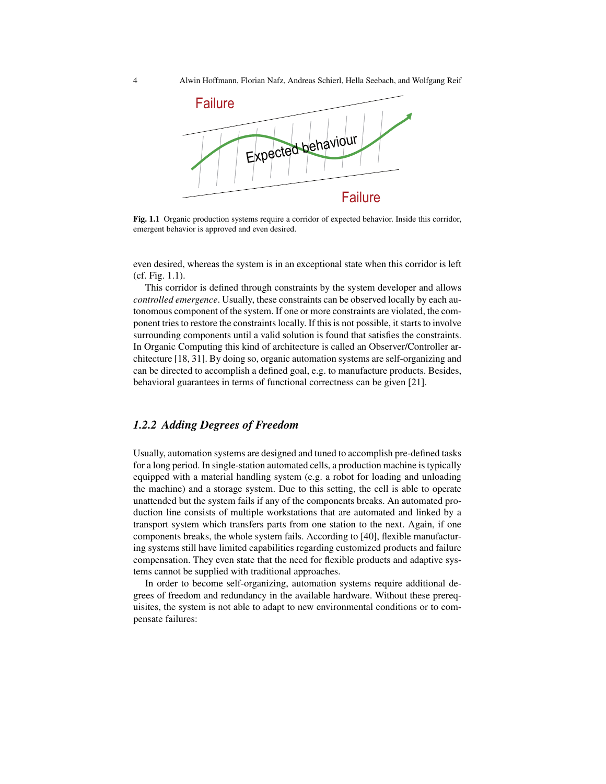

Fig. 1.1 Organic production systems require a corridor of expected behavior. Inside this corridor, emergent behavior is approved and even desired.

even desired, whereas the system is in an exceptional state when this corridor is left (cf. Fig. 1.1).

This corridor is defined through constraints by the system developer and allows *controlled emergence*. Usually, these constraints can be observed locally by each autonomous component of the system. If one or more constraints are violated, the component tries to restore the constraints locally. If this is not possible, it starts to involve surrounding components until a valid solution is found that satisfies the constraints. In Organic Computing this kind of architecture is called an Observer/Controller architecture [18, 31]. By doing so, organic automation systems are self-organizing and can be directed to accomplish a defined goal, e.g. to manufacture products. Besides, behavioral guarantees in terms of functional correctness can be given [21].

## *1.2.2 Adding Degrees of Freedom*

Usually, automation systems are designed and tuned to accomplish pre-defined tasks for a long period. In single-station automated cells, a production machine is typically equipped with a material handling system (e.g. a robot for loading and unloading the machine) and a storage system. Due to this setting, the cell is able to operate unattended but the system fails if any of the components breaks. An automated production line consists of multiple workstations that are automated and linked by a transport system which transfers parts from one station to the next. Again, if one components breaks, the whole system fails. According to [40], flexible manufacturing systems still have limited capabilities regarding customized products and failure compensation. They even state that the need for flexible products and adaptive systems cannot be supplied with traditional approaches.

In order to become self-organizing, automation systems require additional degrees of freedom and redundancy in the available hardware. Without these prerequisites, the system is not able to adapt to new environmental conditions or to compensate failures: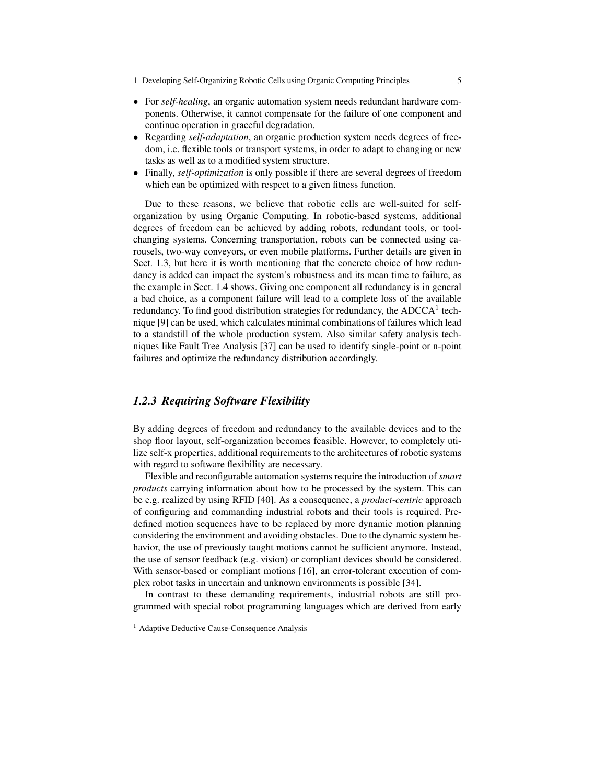- For *self-healing*, an organic automation system needs redundant hardware components. Otherwise, it cannot compensate for the failure of one component and continue operation in graceful degradation.
- Regarding *self-adaptation*, an organic production system needs degrees of freedom, i.e. flexible tools or transport systems, in order to adapt to changing or new tasks as well as to a modified system structure.
- Finally, *self-optimization* is only possible if there are several degrees of freedom which can be optimized with respect to a given fitness function.

Due to these reasons, we believe that robotic cells are well-suited for selforganization by using Organic Computing. In robotic-based systems, additional degrees of freedom can be achieved by adding robots, redundant tools, or toolchanging systems. Concerning transportation, robots can be connected using carousels, two-way conveyors, or even mobile platforms. Further details are given in Sect. 1.3, but here it is worth mentioning that the concrete choice of how redundancy is added can impact the system's robustness and its mean time to failure, as the example in Sect. 1.4 shows. Giving one component all redundancy is in general a bad choice, as a component failure will lead to a complete loss of the available redundancy. To find good distribution strategies for redundancy, the ADCCA<sup>1</sup> technique [9] can be used, which calculates minimal combinations of failures which lead to a standstill of the whole production system. Also similar safety analysis techniques like Fault Tree Analysis [37] can be used to identify single-point or n-point failures and optimize the redundancy distribution accordingly.

## *1.2.3 Requiring Software Flexibility*

By adding degrees of freedom and redundancy to the available devices and to the shop floor layout, self-organization becomes feasible. However, to completely utilize self-x properties, additional requirements to the architectures of robotic systems with regard to software flexibility are necessary.

Flexible and reconfigurable automation systems require the introduction of *smart products* carrying information about how to be processed by the system. This can be e.g. realized by using RFID [40]. As a consequence, a *product-centric* approach of configuring and commanding industrial robots and their tools is required. Predefined motion sequences have to be replaced by more dynamic motion planning considering the environment and avoiding obstacles. Due to the dynamic system behavior, the use of previously taught motions cannot be sufficient anymore. Instead, the use of sensor feedback (e.g. vision) or compliant devices should be considered. With sensor-based or compliant motions [16], an error-tolerant execution of complex robot tasks in uncertain and unknown environments is possible [34].

In contrast to these demanding requirements, industrial robots are still programmed with special robot programming languages which are derived from early

<sup>&</sup>lt;sup>1</sup> Adaptive Deductive Cause-Consequence Analysis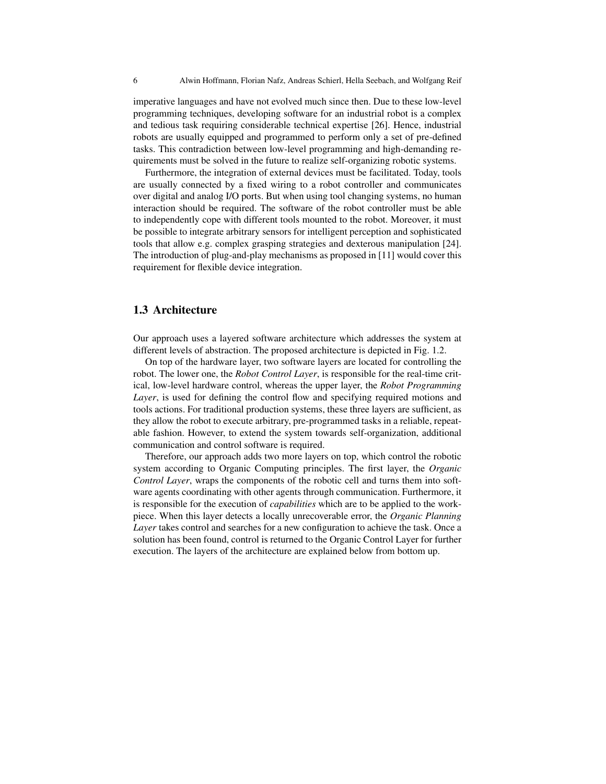imperative languages and have not evolved much since then. Due to these low-level programming techniques, developing software for an industrial robot is a complex and tedious task requiring considerable technical expertise [26]. Hence, industrial robots are usually equipped and programmed to perform only a set of pre-defined tasks. This contradiction between low-level programming and high-demanding requirements must be solved in the future to realize self-organizing robotic systems.

Furthermore, the integration of external devices must be facilitated. Today, tools are usually connected by a fixed wiring to a robot controller and communicates over digital and analog I/O ports. But when using tool changing systems, no human interaction should be required. The software of the robot controller must be able to independently cope with different tools mounted to the robot. Moreover, it must be possible to integrate arbitrary sensors for intelligent perception and sophisticated tools that allow e.g. complex grasping strategies and dexterous manipulation [24]. The introduction of plug-and-play mechanisms as proposed in [11] would cover this requirement for flexible device integration.

## 1.3 Architecture

Our approach uses a layered software architecture which addresses the system at different levels of abstraction. The proposed architecture is depicted in Fig. 1.2.

On top of the hardware layer, two software layers are located for controlling the robot. The lower one, the *Robot Control Layer*, is responsible for the real-time critical, low-level hardware control, whereas the upper layer, the *Robot Programming Layer*, is used for defining the control flow and specifying required motions and tools actions. For traditional production systems, these three layers are sufficient, as they allow the robot to execute arbitrary, pre-programmed tasks in a reliable, repeatable fashion. However, to extend the system towards self-organization, additional communication and control software is required.

Therefore, our approach adds two more layers on top, which control the robotic system according to Organic Computing principles. The first layer, the *Organic Control Layer*, wraps the components of the robotic cell and turns them into software agents coordinating with other agents through communication. Furthermore, it is responsible for the execution of *capabilities* which are to be applied to the workpiece. When this layer detects a locally unrecoverable error, the *Organic Planning Layer* takes control and searches for a new configuration to achieve the task. Once a solution has been found, control is returned to the Organic Control Layer for further execution. The layers of the architecture are explained below from bottom up.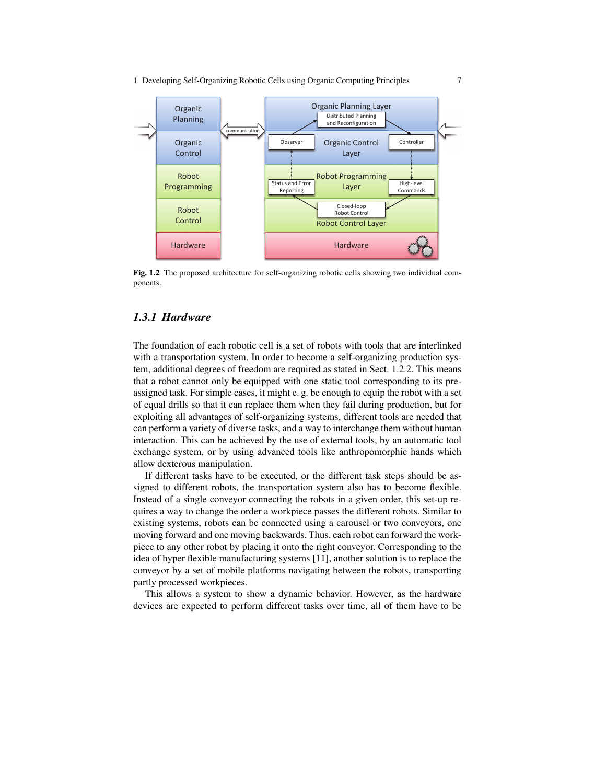

Fig. 1.2 The proposed architecture for self-organizing robotic cells showing two individual components.

# *1.3.1 Hardware*

The foundation of each robotic cell is a set of robots with tools that are interlinked with a transportation system. In order to become a self-organizing production system, additional degrees of freedom are required as stated in Sect. 1.2.2. This means that a robot cannot only be equipped with one static tool corresponding to its preassigned task. For simple cases, it might e. g. be enough to equip the robot with a set of equal drills so that it can replace them when they fail during production, but for exploiting all advantages of self-organizing systems, different tools are needed that can perform a variety of diverse tasks, and a way to interchange them without human interaction. This can be achieved by the use of external tools, by an automatic tool exchange system, or by using advanced tools like anthropomorphic hands which allow dexterous manipulation.

If different tasks have to be executed, or the different task steps should be assigned to different robots, the transportation system also has to become flexible. Instead of a single conveyor connecting the robots in a given order, this set-up requires a way to change the order a workpiece passes the different robots. Similar to existing systems, robots can be connected using a carousel or two conveyors, one moving forward and one moving backwards. Thus, each robot can forward the workpiece to any other robot by placing it onto the right conveyor. Corresponding to the idea of hyper flexible manufacturing systems [11], another solution is to replace the conveyor by a set of mobile platforms navigating between the robots, transporting partly processed workpieces.

This allows a system to show a dynamic behavior. However, as the hardware devices are expected to perform different tasks over time, all of them have to be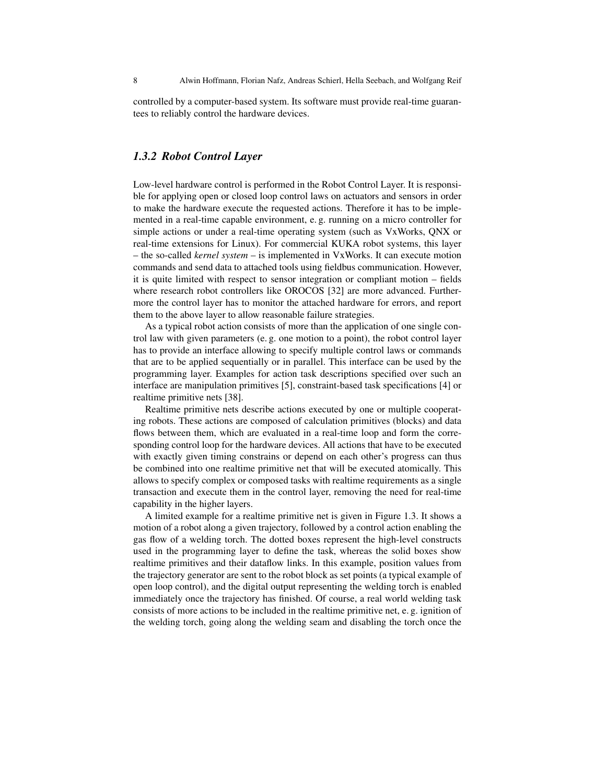controlled by a computer-based system. Its software must provide real-time guarantees to reliably control the hardware devices.

## *1.3.2 Robot Control Layer*

Low-level hardware control is performed in the Robot Control Layer. It is responsible for applying open or closed loop control laws on actuators and sensors in order to make the hardware execute the requested actions. Therefore it has to be implemented in a real-time capable environment, e. g. running on a micro controller for simple actions or under a real-time operating system (such as VxWorks, QNX or real-time extensions for Linux). For commercial KUKA robot systems, this layer – the so-called *kernel system* – is implemented in VxWorks. It can execute motion commands and send data to attached tools using fieldbus communication. However, it is quite limited with respect to sensor integration or compliant motion – fields where research robot controllers like OROCOS [32] are more advanced. Furthermore the control layer has to monitor the attached hardware for errors, and report them to the above layer to allow reasonable failure strategies.

As a typical robot action consists of more than the application of one single control law with given parameters (e. g. one motion to a point), the robot control layer has to provide an interface allowing to specify multiple control laws or commands that are to be applied sequentially or in parallel. This interface can be used by the programming layer. Examples for action task descriptions specified over such an interface are manipulation primitives [5], constraint-based task specifications [4] or realtime primitive nets [38].

Realtime primitive nets describe actions executed by one or multiple cooperating robots. These actions are composed of calculation primitives (blocks) and data flows between them, which are evaluated in a real-time loop and form the corresponding control loop for the hardware devices. All actions that have to be executed with exactly given timing constrains or depend on each other's progress can thus be combined into one realtime primitive net that will be executed atomically. This allows to specify complex or composed tasks with realtime requirements as a single transaction and execute them in the control layer, removing the need for real-time capability in the higher layers.

A limited example for a realtime primitive net is given in Figure 1.3. It shows a motion of a robot along a given trajectory, followed by a control action enabling the gas flow of a welding torch. The dotted boxes represent the high-level constructs used in the programming layer to define the task, whereas the solid boxes show realtime primitives and their dataflow links. In this example, position values from the trajectory generator are sent to the robot block as set points (a typical example of open loop control), and the digital output representing the welding torch is enabled immediately once the trajectory has finished. Of course, a real world welding task consists of more actions to be included in the realtime primitive net, e. g. ignition of the welding torch, going along the welding seam and disabling the torch once the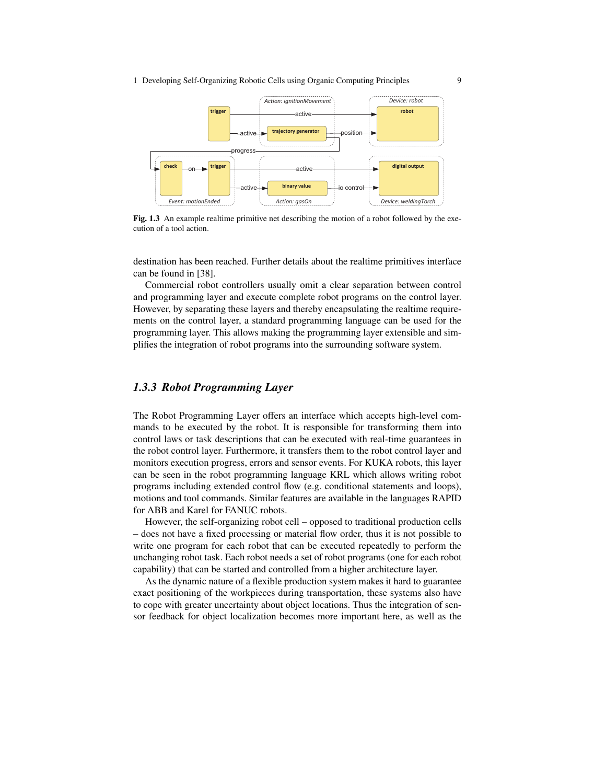

Fig. 1.3 An example realtime primitive net describing the motion of a robot followed by the execution of a tool action.

destination has been reached. Further details about the realtime primitives interface can be found in [38].

Commercial robot controllers usually omit a clear separation between control and programming layer and execute complete robot programs on the control layer. However, by separating these layers and thereby encapsulating the realtime requirements on the control layer, a standard programming language can be used for the programming layer. This allows making the programming layer extensible and simplifies the integration of robot programs into the surrounding software system.

## *1.3.3 Robot Programming Layer*

The Robot Programming Layer offers an interface which accepts high-level commands to be executed by the robot. It is responsible for transforming them into control laws or task descriptions that can be executed with real-time guarantees in the robot control layer. Furthermore, it transfers them to the robot control layer and monitors execution progress, errors and sensor events. For KUKA robots, this layer can be seen in the robot programming language KRL which allows writing robot programs including extended control flow (e.g. conditional statements and loops), motions and tool commands. Similar features are available in the languages RAPID for ABB and Karel for FANUC robots.

However, the self-organizing robot cell – opposed to traditional production cells – does not have a fixed processing or material flow order, thus it is not possible to write one program for each robot that can be executed repeatedly to perform the unchanging robot task. Each robot needs a set of robot programs (one for each robot capability) that can be started and controlled from a higher architecture layer.

As the dynamic nature of a flexible production system makes it hard to guarantee exact positioning of the workpieces during transportation, these systems also have to cope with greater uncertainty about object locations. Thus the integration of sensor feedback for object localization becomes more important here, as well as the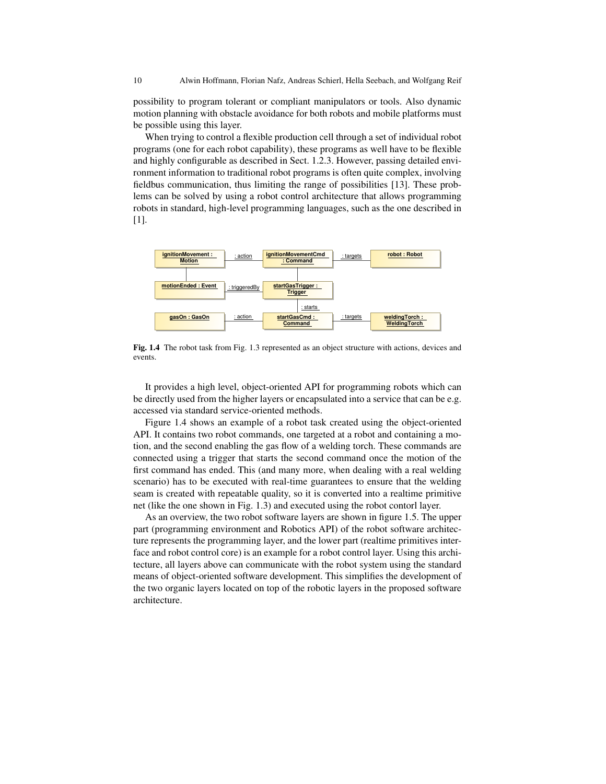possibility to program tolerant or compliant manipulators or tools. Also dynamic motion planning with obstacle avoidance for both robots and mobile platforms must be possible using this layer.

When trying to control a flexible production cell through a set of individual robot programs (one for each robot capability), these programs as well have to be flexible and highly configurable as described in Sect. 1.2.3. However, passing detailed environment information to traditional robot programs is often quite complex, involving fieldbus communication, thus limiting the range of possibilities [13]. These problems can be solved by using a robot control architecture that allows programming robots in standard, high-level programming languages, such as the one described in [1].



Fig. 1.4 The robot task from Fig. 1.3 represented as an object structure with actions, devices and events.

It provides a high level, object-oriented API for programming robots which can be directly used from the higher layers or encapsulated into a service that can be e.g. accessed via standard service-oriented methods.

Figure 1.4 shows an example of a robot task created using the object-oriented API. It contains two robot commands, one targeted at a robot and containing a motion, and the second enabling the gas flow of a welding torch. These commands are connected using a trigger that starts the second command once the motion of the first command has ended. This (and many more, when dealing with a real welding scenario) has to be executed with real-time guarantees to ensure that the welding seam is created with repeatable quality, so it is converted into a realtime primitive net (like the one shown in Fig. 1.3) and executed using the robot contorl layer.

As an overview, the two robot software layers are shown in figure 1.5. The upper part (programming environment and Robotics API) of the robot software architecture represents the programming layer, and the lower part (realtime primitives interface and robot control core) is an example for a robot control layer. Using this architecture, all layers above can communicate with the robot system using the standard means of object-oriented software development. This simplifies the development of the two organic layers located on top of the robotic layers in the proposed software architecture.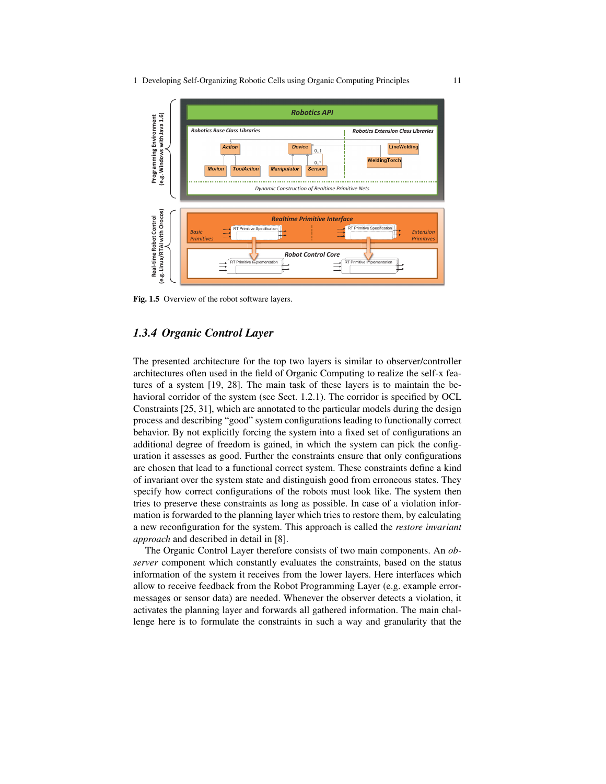

Fig. 1.5 Overview of the robot software layers.

#### *1.3.4 Organic Control Layer*

The presented architecture for the top two layers is similar to observer/controller architectures often used in the field of Organic Computing to realize the self-x features of a system [19, 28]. The main task of these layers is to maintain the behavioral corridor of the system (see Sect. 1.2.1). The corridor is specified by OCL Constraints [25, 31], which are annotated to the particular models during the design process and describing "good" system configurations leading to functionally correct behavior. By not explicitly forcing the system into a fixed set of configurations an additional degree of freedom is gained, in which the system can pick the configuration it assesses as good. Further the constraints ensure that only configurations are chosen that lead to a functional correct system. These constraints define a kind of invariant over the system state and distinguish good from erroneous states. They specify how correct configurations of the robots must look like. The system then tries to preserve these constraints as long as possible. In case of a violation information is forwarded to the planning layer which tries to restore them, by calculating a new reconfiguration for the system. This approach is called the *restore invariant approach* and described in detail in [8].

The Organic Control Layer therefore consists of two main components. An *observer* component which constantly evaluates the constraints, based on the status information of the system it receives from the lower layers. Here interfaces which allow to receive feedback from the Robot Programming Layer (e.g. example errormessages or sensor data) are needed. Whenever the observer detects a violation, it activates the planning layer and forwards all gathered information. The main challenge here is to formulate the constraints in such a way and granularity that the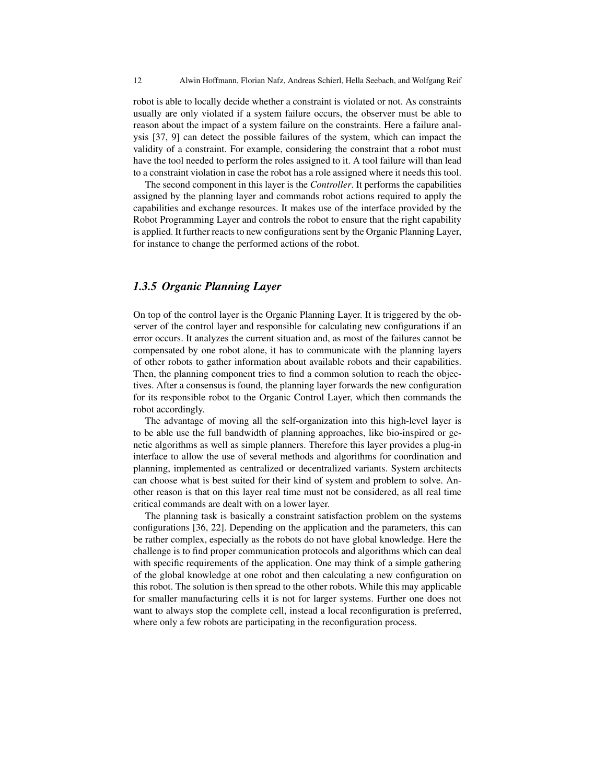robot is able to locally decide whether a constraint is violated or not. As constraints usually are only violated if a system failure occurs, the observer must be able to reason about the impact of a system failure on the constraints. Here a failure analysis [37, 9] can detect the possible failures of the system, which can impact the validity of a constraint. For example, considering the constraint that a robot must have the tool needed to perform the roles assigned to it. A tool failure will than lead to a constraint violation in case the robot has a role assigned where it needs this tool.

The second component in this layer is the *Controller*. It performs the capabilities assigned by the planning layer and commands robot actions required to apply the capabilities and exchange resources. It makes use of the interface provided by the Robot Programming Layer and controls the robot to ensure that the right capability is applied. It further reacts to new configurations sent by the Organic Planning Layer, for instance to change the performed actions of the robot.

#### *1.3.5 Organic Planning Layer*

On top of the control layer is the Organic Planning Layer. It is triggered by the observer of the control layer and responsible for calculating new configurations if an error occurs. It analyzes the current situation and, as most of the failures cannot be compensated by one robot alone, it has to communicate with the planning layers of other robots to gather information about available robots and their capabilities. Then, the planning component tries to find a common solution to reach the objectives. After a consensus is found, the planning layer forwards the new configuration for its responsible robot to the Organic Control Layer, which then commands the robot accordingly.

The advantage of moving all the self-organization into this high-level layer is to be able use the full bandwidth of planning approaches, like bio-inspired or genetic algorithms as well as simple planners. Therefore this layer provides a plug-in interface to allow the use of several methods and algorithms for coordination and planning, implemented as centralized or decentralized variants. System architects can choose what is best suited for their kind of system and problem to solve. Another reason is that on this layer real time must not be considered, as all real time critical commands are dealt with on a lower layer.

The planning task is basically a constraint satisfaction problem on the systems configurations [36, 22]. Depending on the application and the parameters, this can be rather complex, especially as the robots do not have global knowledge. Here the challenge is to find proper communication protocols and algorithms which can deal with specific requirements of the application. One may think of a simple gathering of the global knowledge at one robot and then calculating a new configuration on this robot. The solution is then spread to the other robots. While this may applicable for smaller manufacturing cells it is not for larger systems. Further one does not want to always stop the complete cell, instead a local reconfiguration is preferred, where only a few robots are participating in the reconfiguration process.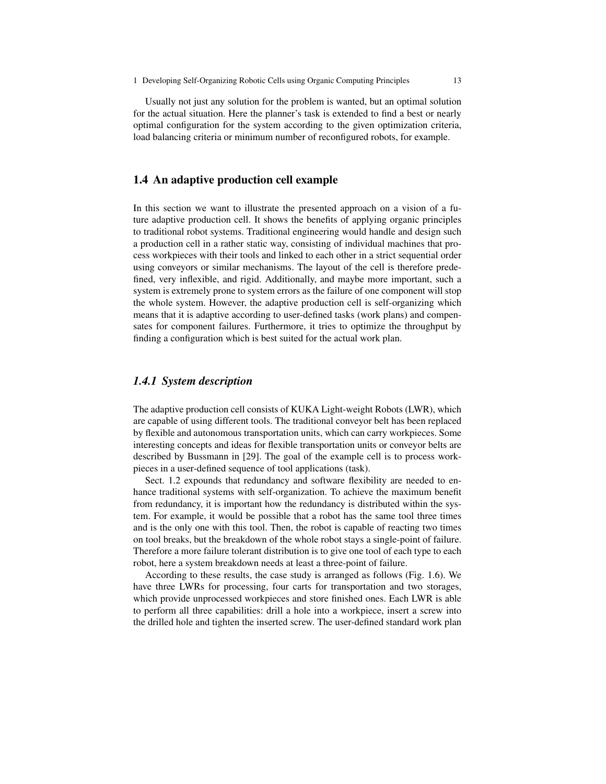Usually not just any solution for the problem is wanted, but an optimal solution for the actual situation. Here the planner's task is extended to find a best or nearly optimal configuration for the system according to the given optimization criteria, load balancing criteria or minimum number of reconfigured robots, for example.

## 1.4 An adaptive production cell example

In this section we want to illustrate the presented approach on a vision of a future adaptive production cell. It shows the benefits of applying organic principles to traditional robot systems. Traditional engineering would handle and design such a production cell in a rather static way, consisting of individual machines that process workpieces with their tools and linked to each other in a strict sequential order using conveyors or similar mechanisms. The layout of the cell is therefore predefined, very inflexible, and rigid. Additionally, and maybe more important, such a system is extremely prone to system errors as the failure of one component will stop the whole system. However, the adaptive production cell is self-organizing which means that it is adaptive according to user-defined tasks (work plans) and compensates for component failures. Furthermore, it tries to optimize the throughput by finding a configuration which is best suited for the actual work plan.

## *1.4.1 System description*

The adaptive production cell consists of KUKA Light-weight Robots (LWR), which are capable of using different tools. The traditional conveyor belt has been replaced by flexible and autonomous transportation units, which can carry workpieces. Some interesting concepts and ideas for flexible transportation units or conveyor belts are described by Bussmann in [29]. The goal of the example cell is to process workpieces in a user-defined sequence of tool applications (task).

Sect. 1.2 expounds that redundancy and software flexibility are needed to enhance traditional systems with self-organization. To achieve the maximum benefit from redundancy, it is important how the redundancy is distributed within the system. For example, it would be possible that a robot has the same tool three times and is the only one with this tool. Then, the robot is capable of reacting two times on tool breaks, but the breakdown of the whole robot stays a single-point of failure. Therefore a more failure tolerant distribution is to give one tool of each type to each robot, here a system breakdown needs at least a three-point of failure.

According to these results, the case study is arranged as follows (Fig. 1.6). We have three LWRs for processing, four carts for transportation and two storages, which provide unprocessed workpieces and store finished ones. Each LWR is able to perform all three capabilities: drill a hole into a workpiece, insert a screw into the drilled hole and tighten the inserted screw. The user-defined standard work plan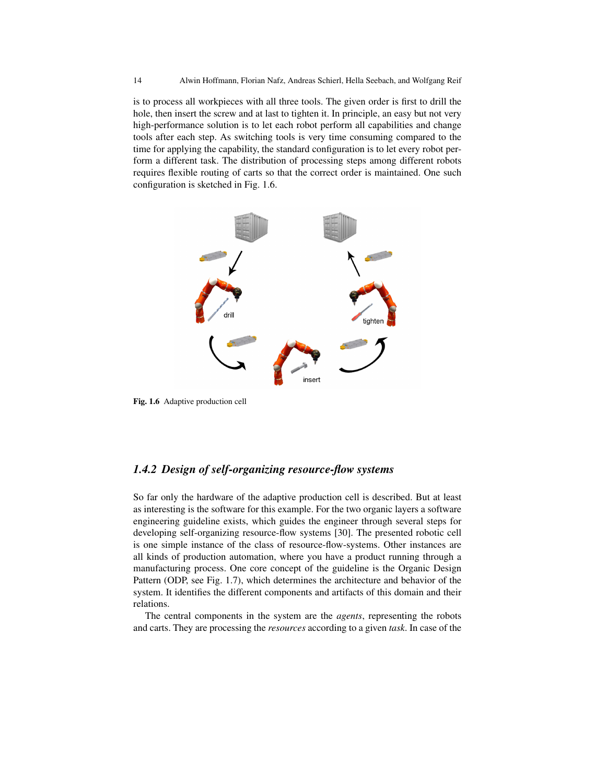is to process all workpieces with all three tools. The given order is first to drill the hole, then insert the screw and at last to tighten it. In principle, an easy but not very high-performance solution is to let each robot perform all capabilities and change tools after each step. As switching tools is very time consuming compared to the time for applying the capability, the standard configuration is to let every robot perform a different task. The distribution of processing steps among different robots requires flexible routing of carts so that the correct order is maintained. One such configuration is sketched in Fig. 1.6.



Fig. 1.6 Adaptive production cell

## *1.4.2 Design of self-organizing resource-flow systems*

So far only the hardware of the adaptive production cell is described. But at least as interesting is the software for this example. For the two organic layers a software engineering guideline exists, which guides the engineer through several steps for developing self-organizing resource-flow systems [30]. The presented robotic cell is one simple instance of the class of resource-flow-systems. Other instances are all kinds of production automation, where you have a product running through a manufacturing process. One core concept of the guideline is the Organic Design Pattern (ODP, see Fig. 1.7), which determines the architecture and behavior of the system. It identifies the different components and artifacts of this domain and their relations.

The central components in the system are the *agents*, representing the robots and carts. They are processing the *resources* according to a given *task*. In case of the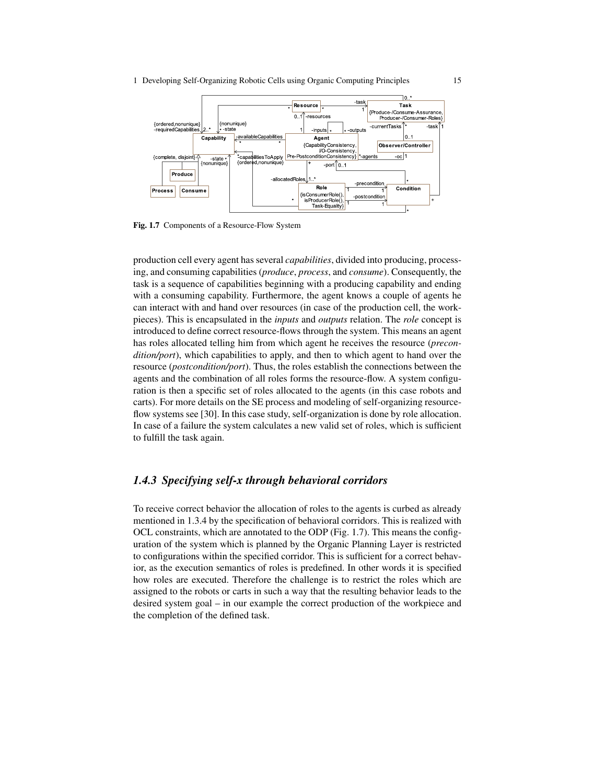

Fig. 1.7 Components of a Resource-Flow System

production cell every agent has several *capabilities*, divided into producing, processing, and consuming capabilities (*produce*, *process*, and *consume*). Consequently, the task is a sequence of capabilities beginning with a producing capability and ending with a consuming capability. Furthermore, the agent knows a couple of agents he can interact with and hand over resources (in case of the production cell, the workpieces). This is encapsulated in the *inputs* and *outputs* relation. The *role* concept is introduced to define correct resource-flows through the system. This means an agent has roles allocated telling him from which agent he receives the resource (*precondition/port*), which capabilities to apply, and then to which agent to hand over the resource (*postcondition/port*). Thus, the roles establish the connections between the agents and the combination of all roles forms the resource-flow. A system configuration is then a specific set of roles allocated to the agents (in this case robots and carts). For more details on the SE process and modeling of self-organizing resourceflow systems see [30]. In this case study, self-organization is done by role allocation. In case of a failure the system calculates a new valid set of roles, which is sufficient to fulfill the task again.

# *1.4.3 Specifying self-x through behavioral corridors*

To receive correct behavior the allocation of roles to the agents is curbed as already mentioned in 1.3.4 by the specification of behavioral corridors. This is realized with OCL constraints, which are annotated to the ODP (Fig. 1.7). This means the configuration of the system which is planned by the Organic Planning Layer is restricted to configurations within the specified corridor. This is sufficient for a correct behavior, as the execution semantics of roles is predefined. In other words it is specified how roles are executed. Therefore the challenge is to restrict the roles which are assigned to the robots or carts in such a way that the resulting behavior leads to the desired system goal – in our example the correct production of the workpiece and the completion of the defined task.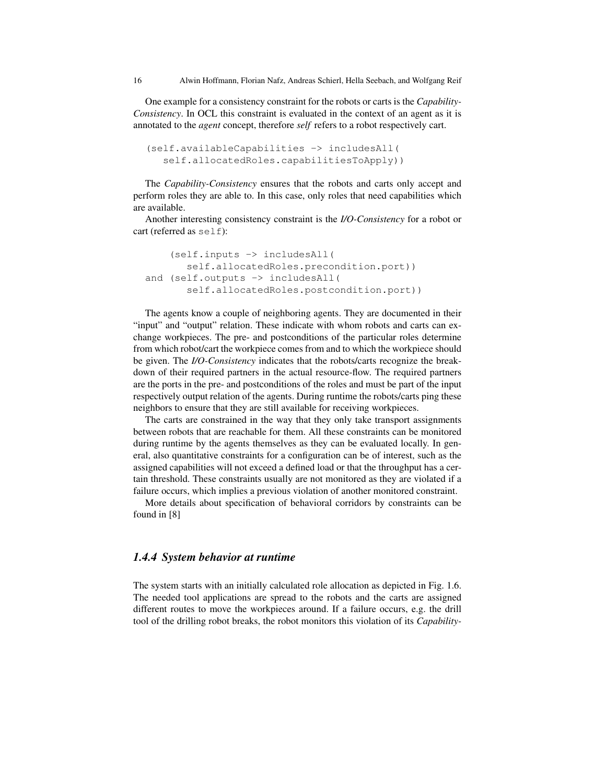One example for a consistency constraint for the robots or carts is the *Capability-Consistency*. In OCL this constraint is evaluated in the context of an agent as it is annotated to the *agent* concept, therefore *self* refers to a robot respectively cart.

```
(self.availableCapabilities -> includesAll(
  self.allocatedRoles.capabilitiesToApply))
```
The *Capability-Consistency* ensures that the robots and carts only accept and perform roles they are able to. In this case, only roles that need capabilities which are available.

Another interesting consistency constraint is the *I/O-Consistency* for a robot or cart (referred as  $self$ ):

```
(self.inputs -> includesAll(
       self.allocatedRoles.precondition.port))
and (self.outputs -> includesAll(
       self.allocatedRoles.postcondition.port))
```
The agents know a couple of neighboring agents. They are documented in their "input" and "output" relation. These indicate with whom robots and carts can exchange workpieces. The pre- and postconditions of the particular roles determine from which robot/cart the workpiece comes from and to which the workpiece should be given. The *I/O-Consistency* indicates that the robots/carts recognize the breakdown of their required partners in the actual resource-flow. The required partners are the ports in the pre- and postconditions of the roles and must be part of the input respectively output relation of the agents. During runtime the robots/carts ping these neighbors to ensure that they are still available for receiving workpieces.

The carts are constrained in the way that they only take transport assignments between robots that are reachable for them. All these constraints can be monitored during runtime by the agents themselves as they can be evaluated locally. In general, also quantitative constraints for a configuration can be of interest, such as the assigned capabilities will not exceed a defined load or that the throughput has a certain threshold. These constraints usually are not monitored as they are violated if a failure occurs, which implies a previous violation of another monitored constraint.

More details about specification of behavioral corridors by constraints can be found in [8]

#### *1.4.4 System behavior at runtime*

The system starts with an initially calculated role allocation as depicted in Fig. 1.6. The needed tool applications are spread to the robots and the carts are assigned different routes to move the workpieces around. If a failure occurs, e.g. the drill tool of the drilling robot breaks, the robot monitors this violation of its *Capability-*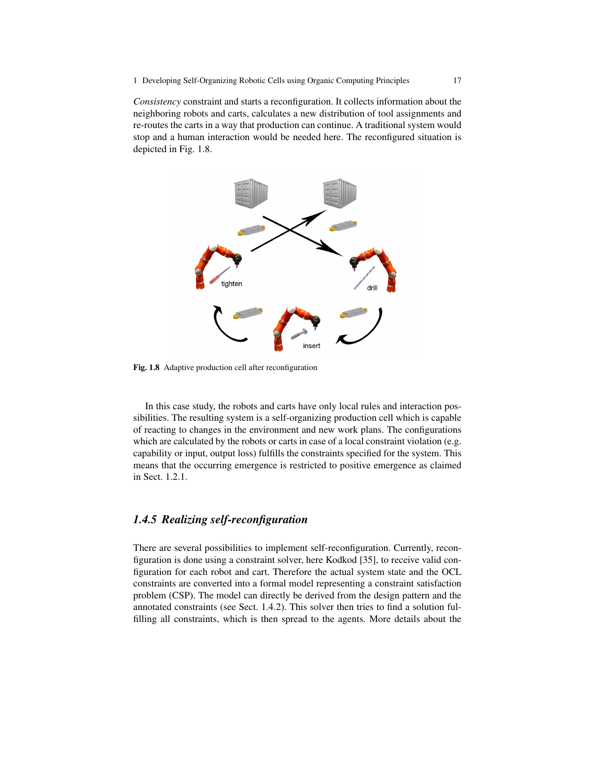*Consistency* constraint and starts a reconfiguration. It collects information about the neighboring robots and carts, calculates a new distribution of tool assignments and re-routes the carts in a way that production can continue. A traditional system would stop and a human interaction would be needed here. The reconfigured situation is depicted in Fig. 1.8.



Fig. 1.8 Adaptive production cell after reconfiguration

In this case study, the robots and carts have only local rules and interaction possibilities. The resulting system is a self-organizing production cell which is capable of reacting to changes in the environment and new work plans. The configurations which are calculated by the robots or carts in case of a local constraint violation (e.g. capability or input, output loss) fulfills the constraints specified for the system. This means that the occurring emergence is restricted to positive emergence as claimed in Sect. 1.2.1.

# *1.4.5 Realizing self-reconfiguration*

There are several possibilities to implement self-reconfiguration. Currently, reconfiguration is done using a constraint solver, here Kodkod [35], to receive valid configuration for each robot and cart. Therefore the actual system state and the OCL constraints are converted into a formal model representing a constraint satisfaction problem (CSP). The model can directly be derived from the design pattern and the annotated constraints (see Sect. 1.4.2). This solver then tries to find a solution fulfilling all constraints, which is then spread to the agents. More details about the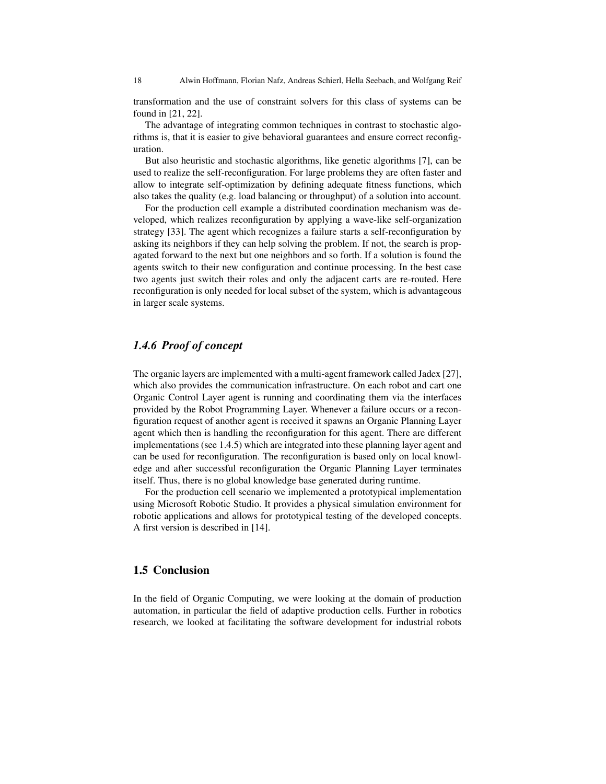transformation and the use of constraint solvers for this class of systems can be found in [21, 22].

The advantage of integrating common techniques in contrast to stochastic algorithms is, that it is easier to give behavioral guarantees and ensure correct reconfiguration.

But also heuristic and stochastic algorithms, like genetic algorithms [7], can be used to realize the self-reconfiguration. For large problems they are often faster and allow to integrate self-optimization by defining adequate fitness functions, which also takes the quality (e.g. load balancing or throughput) of a solution into account.

For the production cell example a distributed coordination mechanism was developed, which realizes reconfiguration by applying a wave-like self-organization strategy [33]. The agent which recognizes a failure starts a self-reconfiguration by asking its neighbors if they can help solving the problem. If not, the search is propagated forward to the next but one neighbors and so forth. If a solution is found the agents switch to their new configuration and continue processing. In the best case two agents just switch their roles and only the adjacent carts are re-routed. Here reconfiguration is only needed for local subset of the system, which is advantageous in larger scale systems.

## *1.4.6 Proof of concept*

The organic layers are implemented with a multi-agent framework called Jadex [27], which also provides the communication infrastructure. On each robot and cart one Organic Control Layer agent is running and coordinating them via the interfaces provided by the Robot Programming Layer. Whenever a failure occurs or a reconfiguration request of another agent is received it spawns an Organic Planning Layer agent which then is handling the reconfiguration for this agent. There are different implementations (see 1.4.5) which are integrated into these planning layer agent and can be used for reconfiguration. The reconfiguration is based only on local knowledge and after successful reconfiguration the Organic Planning Layer terminates itself. Thus, there is no global knowledge base generated during runtime.

For the production cell scenario we implemented a prototypical implementation using Microsoft Robotic Studio. It provides a physical simulation environment for robotic applications and allows for prototypical testing of the developed concepts. A first version is described in [14].

#### 1.5 Conclusion

In the field of Organic Computing, we were looking at the domain of production automation, in particular the field of adaptive production cells. Further in robotics research, we looked at facilitating the software development for industrial robots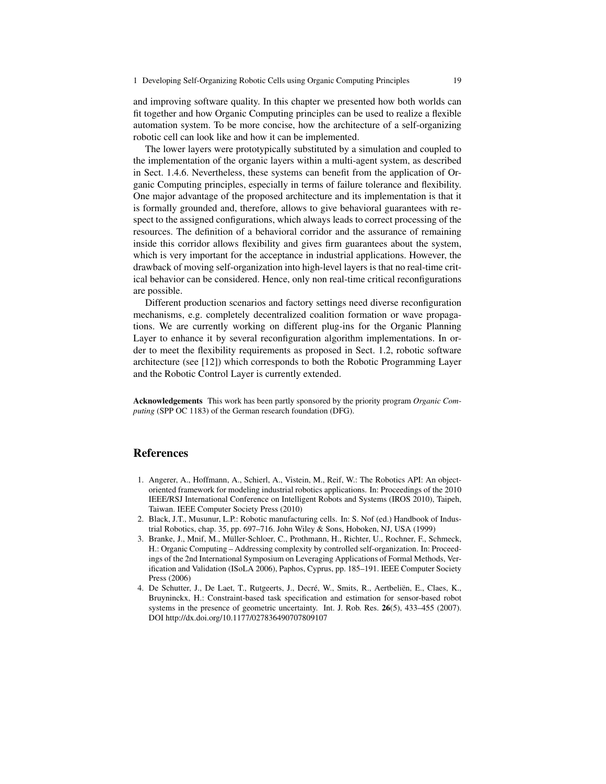and improving software quality. In this chapter we presented how both worlds can fit together and how Organic Computing principles can be used to realize a flexible automation system. To be more concise, how the architecture of a self-organizing robotic cell can look like and how it can be implemented.

The lower layers were prototypically substituted by a simulation and coupled to the implementation of the organic layers within a multi-agent system, as described in Sect. 1.4.6. Nevertheless, these systems can benefit from the application of Organic Computing principles, especially in terms of failure tolerance and flexibility. One major advantage of the proposed architecture and its implementation is that it is formally grounded and, therefore, allows to give behavioral guarantees with respect to the assigned configurations, which always leads to correct processing of the resources. The definition of a behavioral corridor and the assurance of remaining inside this corridor allows flexibility and gives firm guarantees about the system, which is very important for the acceptance in industrial applications. However, the drawback of moving self-organization into high-level layers is that no real-time critical behavior can be considered. Hence, only non real-time critical reconfigurations are possible.

Different production scenarios and factory settings need diverse reconfiguration mechanisms, e.g. completely decentralized coalition formation or wave propagations. We are currently working on different plug-ins for the Organic Planning Layer to enhance it by several reconfiguration algorithm implementations. In order to meet the flexibility requirements as proposed in Sect. 1.2, robotic software architecture (see [12]) which corresponds to both the Robotic Programming Layer and the Robotic Control Layer is currently extended.

Acknowledgements This work has been partly sponsored by the priority program *Organic Computing* (SPP OC 1183) of the German research foundation (DFG).

#### References

- 1. Angerer, A., Hoffmann, A., Schierl, A., Vistein, M., Reif, W.: The Robotics API: An objectoriented framework for modeling industrial robotics applications. In: Proceedings of the 2010 IEEE/RSJ International Conference on Intelligent Robots and Systems (IROS 2010), Taipeh, Taiwan. IEEE Computer Society Press (2010)
- 2. Black, J.T., Musunur, L.P.: Robotic manufacturing cells. In: S. Nof (ed.) Handbook of Industrial Robotics, chap. 35, pp. 697–716. John Wiley & Sons, Hoboken, NJ, USA (1999)
- 3. Branke, J., Mnif, M., Muller-Schloer, C., Prothmann, H., Richter, U., Rochner, F., Schmeck, ¨ H.: Organic Computing – Addressing complexity by controlled self-organization. In: Proceedings of the 2nd International Symposium on Leveraging Applications of Formal Methods, Verification and Validation (ISoLA 2006), Paphos, Cyprus, pp. 185–191. IEEE Computer Society Press (2006)
- 4. De Schutter, J., De Laet, T., Rutgeerts, J., Decré, W., Smits, R., Aertbeliën, E., Claes, K., Bruyninckx, H.: Constraint-based task specification and estimation for sensor-based robot systems in the presence of geometric uncertainty. Int. J. Rob. Res. 26(5), 433–455 (2007). DOI http://dx.doi.org/10.1177/027836490707809107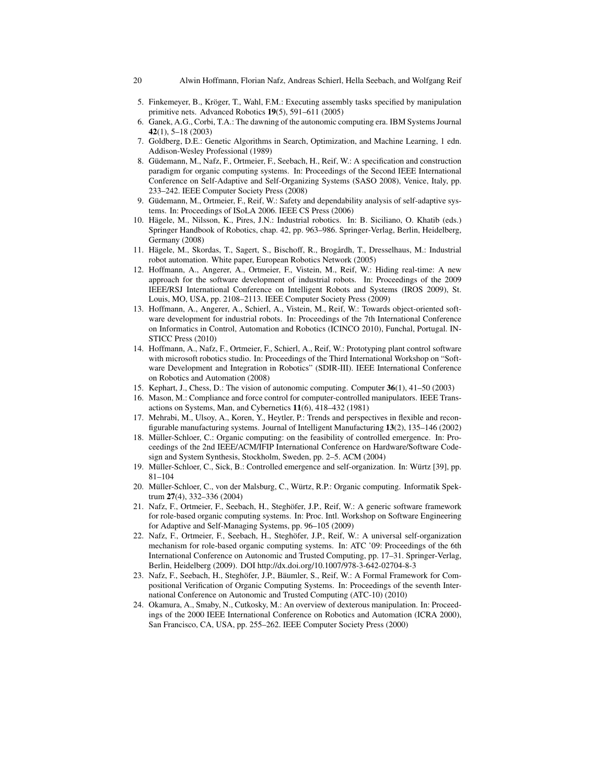- 5. Finkemeyer, B., Kröger, T., Wahl, F.M.: Executing assembly tasks specified by manipulation primitive nets. Advanced Robotics 19(5), 591–611 (2005)
- 6. Ganek, A.G., Corbi, T.A.: The dawning of the autonomic computing era. IBM Systems Journal 42(1), 5–18 (2003)
- 7. Goldberg, D.E.: Genetic Algorithms in Search, Optimization, and Machine Learning, 1 edn. Addison-Wesley Professional (1989)
- 8. Güdemann, M., Nafz, F., Ortmeier, F., Seebach, H., Reif, W.: A specification and construction paradigm for organic computing systems. In: Proceedings of the Second IEEE International Conference on Self-Adaptive and Self-Organizing Systems (SASO 2008), Venice, Italy, pp. 233–242. IEEE Computer Society Press (2008)
- 9. Güdemann, M., Ortmeier, F., Reif, W.: Safety and dependability analysis of self-adaptive systems. In: Proceedings of ISoLA 2006. IEEE CS Press (2006)
- 10. Hagele, M., Nilsson, K., Pires, J.N.: Industrial robotics. In: B. Siciliano, O. Khatib (eds.) ¨ Springer Handbook of Robotics, chap. 42, pp. 963–986. Springer-Verlag, Berlin, Heidelberg, Germany (2008)
- 11. Hägele, M., Skordas, T., Sagert, S., Bischoff, R., Brogårdh, T., Dresselhaus, M.: Industrial robot automation. White paper, European Robotics Network (2005)
- 12. Hoffmann, A., Angerer, A., Ortmeier, F., Vistein, M., Reif, W.: Hiding real-time: A new approach for the software development of industrial robots. In: Proceedings of the 2009 IEEE/RSJ International Conference on Intelligent Robots and Systems (IROS 2009), St. Louis, MO, USA, pp. 2108–2113. IEEE Computer Society Press (2009)
- 13. Hoffmann, A., Angerer, A., Schierl, A., Vistein, M., Reif, W.: Towards object-oriented software development for industrial robots. In: Proceedings of the 7th International Conference on Informatics in Control, Automation and Robotics (ICINCO 2010), Funchal, Portugal. IN-STICC Press (2010)
- 14. Hoffmann, A., Nafz, F., Ortmeier, F., Schierl, A., Reif, W.: Prototyping plant control software with microsoft robotics studio. In: Proceedings of the Third International Workshop on "Software Development and Integration in Robotics" (SDIR-III). IEEE International Conference on Robotics and Automation (2008)
- 15. Kephart, J., Chess, D.: The vision of autonomic computing. Computer 36(1), 41–50 (2003)
- 16. Mason, M.: Compliance and force control for computer-controlled manipulators. IEEE Transactions on Systems, Man, and Cybernetics 11(6), 418–432 (1981)
- 17. Mehrabi, M., Ulsoy, A., Koren, Y., Heytler, P.: Trends and perspectives in flexible and reconfigurable manufacturing systems. Journal of Intelligent Manufacturing 13(2), 135–146 (2002)
- 18. Müller-Schloer, C.: Organic computing: on the feasibility of controlled emergence. In: Proceedings of the 2nd IEEE/ACM/IFIP International Conference on Hardware/Software Codesign and System Synthesis, Stockholm, Sweden, pp. 2–5. ACM (2004)
- 19. Müller-Schloer, C., Sick, B.: Controlled emergence and self-organization. In: Würtz [39], pp. 81–104
- 20. Müller-Schloer, C., von der Malsburg, C., Würtz, R.P.: Organic computing. Informatik Spektrum 27(4), 332–336 (2004)
- 21. Nafz, F., Ortmeier, F., Seebach, H., Steghofer, J.P., Reif, W.: A generic software framework ¨ for role-based organic computing systems. In: Proc. Intl. Workshop on Software Engineering for Adaptive and Self-Managing Systems, pp. 96–105 (2009)
- 22. Nafz, F., Ortmeier, F., Seebach, H., Steghofer, J.P., Reif, W.: A universal self-organization ¨ mechanism for role-based organic computing systems. In: ATC '09: Proceedings of the 6th International Conference on Autonomic and Trusted Computing, pp. 17–31. Springer-Verlag, Berlin, Heidelberg (2009). DOI http://dx.doi.org/10.1007/978-3-642-02704-8-3
- 23. Nafz, F., Seebach, H., Steghöfer, J.P., Bäumler, S., Reif, W.: A Formal Framework for Compositional Verification of Organic Computing Systems. In: Proceedings of the seventh International Conference on Autonomic and Trusted Computing (ATC-10) (2010)
- 24. Okamura, A., Smaby, N., Cutkosky, M.: An overview of dexterous manipulation. In: Proceedings of the 2000 IEEE International Conference on Robotics and Automation (ICRA 2000), San Francisco, CA, USA, pp. 255–262. IEEE Computer Society Press (2000)